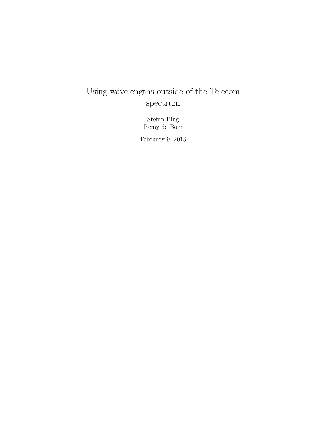# Using wavelengths outside of the Telecom spectrum

Stefan Plug Remy de Boer

February 9, 2013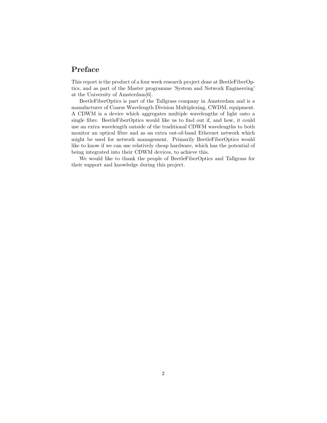## Preface

This report is the product of a four week research project done at BeetleFiberOptics, and as part of the Master programme 'System and Network Engineering' at the University of Amsterdam[6].

BeetleFiberOptics is part of the Tallgrass company in Amsterdam and is a manufacturer of Coarse Wavelength Division Multiplexing, CWDM, equipment. A CDWM is a device which aggregates multiple wavelengths of light onto a single fibre. BeetleFiberOptics would like us to find out if, and how, it could use an extra wavelength outside of the traditional CDWM wavelengths to both monitor an optical fibre and as an extra out-of-band Ethernet network which might be used for network management. Primarily BeetleFiberOptics would like to know if we can use relatively cheap hardware, which has the potential of being integrated into their CDWM devices, to achieve this.

We would like to thank the people of BeetleFiberOptics and Tallgrass for their support and knowledge during this project.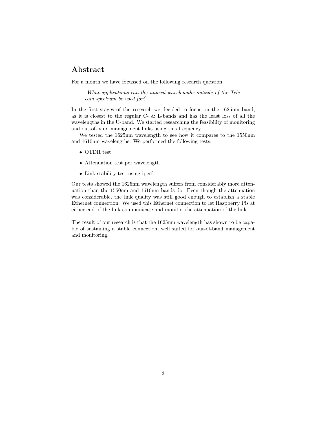## Abstract

For a month we have focussed on the following research question:

What applications can the unused wavelengths outside of the Telecom spectrum be used for?

In the first stages of the research we decided to focus on the 1625nm band, as it is closest to the regular C- & L-bands and has the least loss of all the wavelengths in the U-band. We started researching the feasibility of monitoring and out-of-band management links using this frequency.

We tested the 1625nm wavelength to see how it compares to the 1550nm and 1610nm wavelengths. We performed the following tests:

- OTDR test
- Attenuation test per wavelength
- Link stability test using iperf

Our tests showed the 1625nm wavelength suffers from considerably more attenuation than the 1550nm and 1610nm bands do. Even though the attenuation was considerable, the link quality was still good enough to establish a stable Ethernet connection. We used this Ethernet connection to let Raspberry Pis at either end of the link communicate and monitor the attenuation of the link.

The result of our research is that the 1625nm wavelength has shown to be capable of sustaining a stable connection, well suited for out-of-band management and monitoring.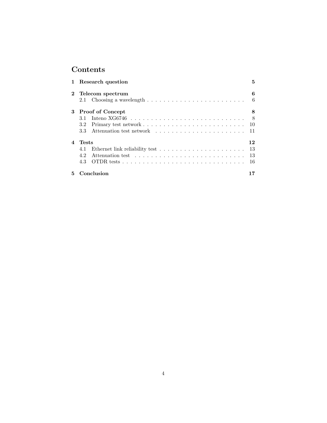## Contents

|                        | 1 Research question                                                                                              | 5  |
|------------------------|------------------------------------------------------------------------------------------------------------------|----|
| $\mathbf{2}$           | Telecom spectrum                                                                                                 | 6  |
|                        | Choosing a wavelength $\ldots \ldots \ldots \ldots \ldots \ldots \ldots \ldots$<br>2.1                           | 6  |
| 3                      | <b>Proof of Concept</b>                                                                                          | 8  |
|                        | Inteno XG6746 $\dots \dots \dots \dots \dots \dots \dots \dots \dots \dots \dots \dots$<br>3.1                   | -8 |
|                        | 3.2                                                                                                              | 10 |
|                        | 3.3                                                                                                              | 11 |
| $\boldsymbol{\Lambda}$ | <b>Tests</b>                                                                                                     | 12 |
|                        | Ethernet link reliability test $\hfill\ldots\ldots\ldots\ldots\ldots\ldots\ldots\ldots\ldots\ldots\ldots$<br>4.1 | 13 |
|                        | 4.2                                                                                                              | 13 |
|                        | 4.3                                                                                                              | 16 |
| 5                      | Conclusion                                                                                                       |    |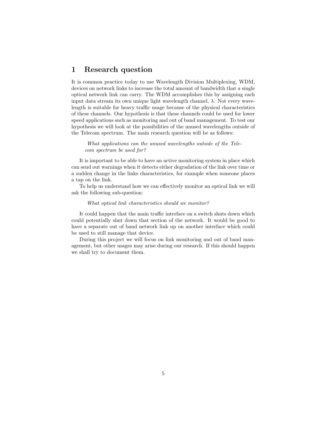## 1 Research question

It is common practice today to use Wavelength Division Multiplexing, WDM, devices on network links to increase the total amount of bandwidth that a single optical network link can carry. The WDM accomplishes this by assigning each input data stream its own unique light wavelength channel,  $\lambda$ . Not every wavelength is suitable for heavy traffic usage because of the physical characteristics of these channels. Our hypothesis is that these channels could be used for lower speed applications such as monitoring and out of band management. To test our hypothesis we will look at the possibilities of the unused wavelengths outside of the Telecom spectrum. The main research question will be as follows:

What applications can the unused wavelengths outside of the Telecom spectrum be used for?

It is important to be able to have an active monitoring system in place which can send out warnings when it detects either degradation of the link over time or a sudden change in the links characteristics, for example when someone places a tap on the link.

To help us understand how we can effectively monitor an optical link we will ask the following sub-question:

#### What optical link characteristics should we monitor?

It could happen that the main traffic interface on a switch shuts down which could potentially shut down that section of the network. It would be good to have a separate out of band network link up on another interface which could be used to still manage that device.

During this project we will focus on link monitoring and out of band management, but other usages may arise during our research. If this should happen we shall try to document them.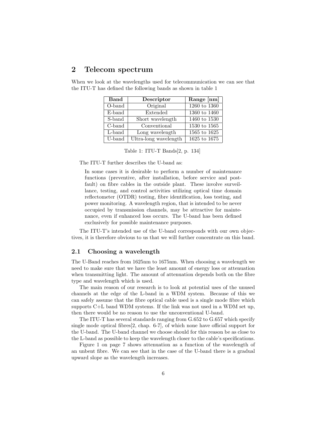### 2 Telecom spectrum

| <b>Band</b> | Descriptor            | Range [nm]         |
|-------------|-----------------------|--------------------|
| O-band      | Original              | $1260$ to $1360\,$ |
| E-band      | Extended              | 1360 to 1460       |
| S-band      | Short wavelength      | 1460 to 1530       |
| C-band      | Conventional          | 1530 to 1565       |
| L-band      | Long wavelength       | 1565 to 1625       |
| U-band      | Ultra-long wavelength | 1625 to 1675       |

When we look at the wavelengths used for telecommunication we can see that the ITU-T has defined the following bands as shown in table 1

Table 1: ITU-T Bands[2, p. 134]

The ITU-T further describes the U-band as:

In some cases it is desirable to perform a number of maintenance functions (preventive, after installation, before service and postfault) on fibre cables in the outside plant. These involve surveillance, testing, and control activities utilizing optical time domain reflectometer (OTDR) testing, fibre identification, loss testing, and power monitoring. A wavelength region, that is intended to be never occupied by transmission channels, may be attractive for maintenance, even if enhanced loss occurs. The U-band has been defined exclusively for possible maintenance purposes.

The ITU-T's intended use of the U-band corresponds with our own objectives, it is therefore obvious to us that we will further concentrate on this band.

#### 2.1 Choosing a wavelength

The U-Band reaches from 1625nm to 1675nm. When choosing a wavelength we need to make sure that we have the least amount of energy loss or attenuation when transmitting light. The amount of attenuation depends both on the fibre type and wavelength which is used.

The main reason of our research is to look at potential uses of the unused channels at the edge of the L-band in a WDM system. Because of this we can safely assume that the fibre optical cable used is a single mode fibre which supports C+L band WDM systems. If the link was not used in a WDM set up, then there would be no reason to use the unconventional U-band.

The ITU-T has several standards ranging from G.652 to G.657 which specify single mode optical fibres[2, chap. 6-7], of which none have official support for the U-band. The U-band channel we choose should for this reason be as close to the L-band as possible to keep the wavelength closer to the cable's specifications.

Figure 1 on page 7 shows attenuation as a function of the wavelength of an unbent fibre. We can see that in the case of the U-band there is a gradual upward slope as the wavelength increases.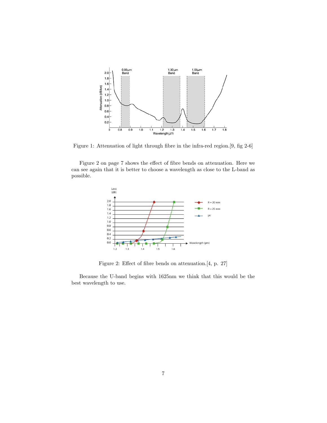

Figure 1: Attenuation of light through fibre in the infra-red region.[9, fig 2-6]

Figure 2 on page 7 shows the effect of fibre bends on attenuation. Here we can see again that it is better to choose a wavelength as close to the L-band as possible.



Figure 2: Effect of fibre bends on attenuation.[4, p. 27]

Because the U-band begins with 1625nm we think that this would be the best wavelength to use.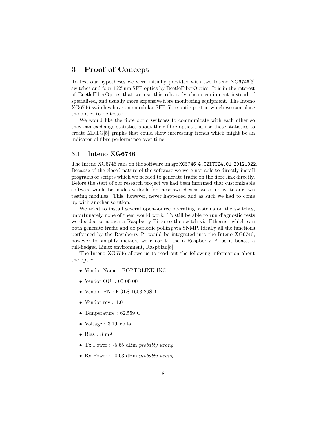## 3 Proof of Concept

To test our hypotheses we were initially provided with two Inteno XG6746[3] switches and four 1625nm SFP optics by BeetleFiberOptics. It is in the interest of BeetleFiberOptics that we use this relatively cheap equipment instead of specialised, and usually more expensive fibre monitoring equipment. The Inteno XG6746 switches have one modular SFP fibre optic port in which we can place the optics to be tested.

We would like the fibre optic switches to communicate with each other so they can exchange statistics about their fibre optics and use these statistics to create MRTG[5] graphs that could show interesting trends which might be an indicator of fibre performance over time.

#### 3.1 Inteno XG6746

The Inteno XG6746 runs on the software image XG6746 4.02ITT24.01 20121022. Because of the closed nature of the software we were not able to directly install programs or scripts which we needed to generate traffic on the fibre link directly. Before the start of our research project we had been informed that customizable software would be made available for these switches so we could write our own testing modules. This, however, never happened and as such we had to come up with another solution.

We tried to install several open-source operating systems on the switches, unfortunately none of them would work. To still be able to run diagnostic tests we decided to attach a Raspberry Pi to to the switch via Ethernet which can both generate traffic and do periodic polling via SNMP. Ideally all the functions performed by the Raspberry Pi would be integrated into the Inteno XG6746, however to simplify matters we chose to use a Raspberry Pi as it boasts a full-fledged Linux environment, Raspbian[8].

The Inteno XG6746 allows us to read out the following information about the optic:

- Vendor Name : EOPTOLINK INC
- Vendor OUI : 00 00 00
- Vendor PN : EOLS-1603-29SD
- Vendor rev : 1.0
- Temperature : 62.559 C
- Voltage : 3.19 Volts
- Bias : 8 mA
- Tx Power : -5.65 dBm probably wrong
- Rx Power : -0.03 dBm probably wrong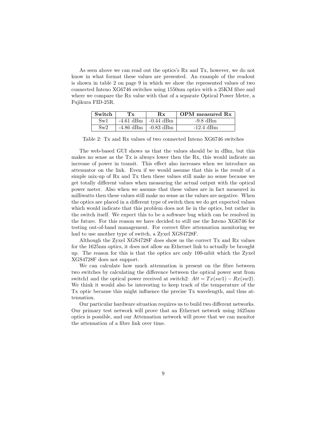As seen above we can read out the optics's Rx and Tx, however, we do not know in what format these values are presented. An example of the readout is shown in table 2 on page 9 in which we show the represented values of two connected Inteno XG6746 switches using 1550nm optics with a 25KM fibre and where we compare the Rx value with that of a separate Optical Power Meter, a Fujikura FID-25R.

| Switch       |                               | $\mathbf{R}\mathbf{x}$ | OPM measured Rx |
|--------------|-------------------------------|------------------------|-----------------|
| $\text{Sw1}$ | $-4.61$ dBm $\vert$ -0.44 dBm |                        | $-9.8$ dBm      |
| Sw2          | $-4.86$ dBm $\vert$ -0.83 dBm |                        | $-12.4$ dBm     |

Table 2: Tx and Rx values of two connected Inteno XG6746 switches

The web-based GUI shows us that the values should be in dBm, but this makes no sense as the Tx is always lower then the Rx, this would indicate an increase of power in transit. This effect also increases when we introduce an attenuator on the link. Even if we would assume that this is the result of a simple mix-up of Rx and Tx then these values still make no sense because we get totally different values when measuring the actual output with the optical power meter. Also when we assume that these values are in fact measured in milliwatts then these values still make no sense as the values are negative. When the optics are placed in a different type of switch then we do get expected values which would indicate that this problem does not lie in the optics, but rather in the switch itself. We expect this to be a software bug which can be resolved in the future. For this reason we have decided to still use the Inteno XG6746 for testing out-of-band management. For correct fibre attenuation monitoring we had to use another type of switch, a Zyxel XGS4728F.

Although the Zyxel XGS4728F does show us the correct Tx and Rx values for the 1625nm optics, it does not allow an Ethernet link to actually be brought up. The reason for this is that the optics are only 100-mbit which the Zyxel XGS4728F does not support.

We can calculate how much attenuation is present on the fibre between two switches by calculating the difference between the optical power sent from switch1 and the optical power received at switch2:  $Att = Tx(sw1) - Rx(sw2)$ . We think it would also be interesting to keep track of the temperature of the Tx optic because this might influence the precise Tx wavelength, and thus attenuation.

Our particular hardware situation requires us to build two different networks. Our primary test network will prove that an Ethernet network using 1625nm optics is possible, and our Attenuation network will prove that we can monitor the attenuation of a fibre link over time.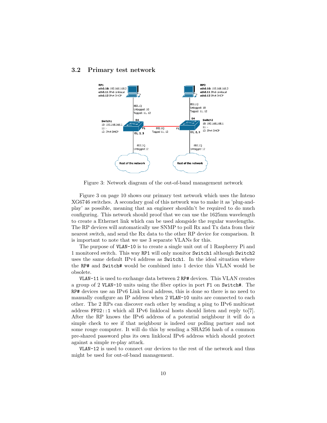#### 3.2 Primary test network



Figure 3: Network diagram of the out-of-band management network

Figure 3 on page 10 shows our primary test network which uses the Inteno XG6746 switches. A secondary goal of this network was to make it as 'plug-andplay' as possible, meaning that an engineer shouldn't be required to do much configuring. This network should proof that we can use the 1625nm wavelength to create a Ethernet link which can be used alongside the regular wavelengths. The RP devices will automatically use SNMP to poll Rx and Tx data from their nearest switch, and send the Rx data to the other RP device for comparison. It is important to note that we use 3 separate VLANs for this.

The purpose of VLAN-10 is to create a single unit out of 1 Raspberry Pi and 1 monitored switch. This way RP1 will only monitor Switch1 although Switch2 uses the same default IPv4 address as Switch1. In the ideal situation where the RP# and Switch# would be combined into 1 device this VLAN would be obsolete.

VLAN-11 is used to exchange data between 2 RP# devices. This VLAN creates a group of 2 VLAN-10 units using the fiber optics in port F1 on Switch#. The RP# devices use an IPv6 Link local address, this is done so there is no need to manually configure an IP address when 2 VLAN-10 units are connected to each other. The 2 RPs can discover each other by sending a ping to IPv6 multicast address FF02::1 which all IPv6 linklocal hosts should listen and reply to[7]. After the RP knows the IPv6 address of a potential neighbour it will do a simple check to see if that neighbour is indeed our polling partner and not some rouge computer. It will do this by sending a SHA256 hash of a common pre-shared password plus its own linklocal IPv6 address which should protect against a simple re-play attack.

VLAN-12 is used to connect our devices to the rest of the network and thus might be used for out-of-band management.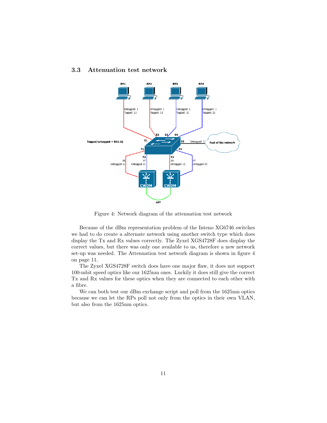#### 3.3 Attenuation test network



Figure 4: Network diagram of the attenuation test network

Because of the dBm representation problem of the Inteno XG6746 switches we had to do create a alternate network using another switch type which does display the Tx and Rx values correctly. The Zyxel XGS4728F does display the correct values, but there was only one available to us, therefore a new network set-up was needed. The Attenuation test network diagram is shown in figure 4 on page 11.

The Zyxel XGS4728F switch does have one major flaw, it does not support 100-mbit speed optics like our 1625nm ones. Luckily it does still give the correct Tx and Rx values for these optics when they are connected to each other with a fibre.

We can both test our dBm exchange script and poll from the 1625nm optics because we can let the RPs poll not only from the optics in their own VLAN, but also from the 1625nm optics.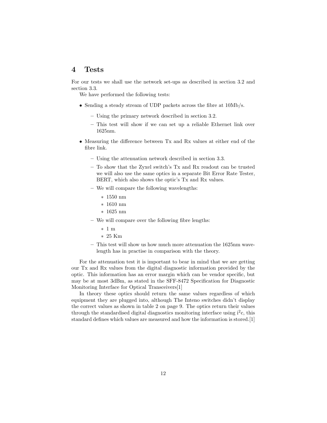### 4 Tests

For our tests we shall use the network set-ups as described in section 3.2 and section 3.3.

We have performed the following tests:

- Sending a steady stream of UDP packets across the fibre at 10Mb/s.
	- Using the primary network described in section 3.2.
	- This test will show if we can set up a reliable Ethernet link over 1625nm.
- Measuring the difference between Tx and Rx values at either end of the fibre link.
	- Using the attenuation network described in section 3.3.
	- To show that the Zyxel switch's Tx and Rx readout can be trusted we will also use the same optics in a separate Bit Error Rate Tester, BERT, which also shows the optic's Tx and Rx values.
	- We will compare the following wavelengths:
		- ∗ 1550 nm
		- ∗ 1610 nm
		- ∗ 1625 nm
	- We will compare over the following fibre lengths:
		- ∗ 1 m
		- ∗ 25 Km
	- This test will show us how much more attenuation the 1625nm wavelength has in practise in comparison with the theory.

For the attenuation test it is important to bear in mind that we are getting our Tx and Rx values from the digital diagnostic information provided by the optic. This information has an error margin which can be vendor specific, but may be at most 3dBm, as stated in the SFF-8472 Specification for Diagnostic Monitoring Interface for Optical Transceivers[1]

In theory these optics should return the same values regardless of which equipment they are plugged into, although The Inteno switches didn't display the correct values as shown in table 2 on page 9. The optics return their values through the standardised digital diagnostics monitoring interface using  $i^2c$ , this standard defines which values are measured and how the information is stored.[1]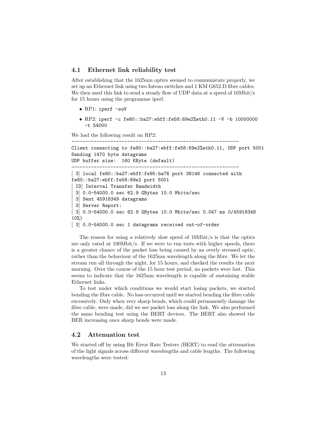#### 4.1 Ethernet link reliability test

After establishing that the 1625nm optics seemed to communicate properly, we set up an Ethernet link using two Inteno switches and 1 KM G652.D fibre cables. We then used this link to send a steady flow of UDP data at a speed of 10Mbit/s for 15 hours using the programme iperf.

- RP1: iperf -suV
- RP2: iperf -c fe80::ba27:ebff:fe58:69e2%eth0.11 -V -b 10000000 -t 54000

------------------------------------------------------------

We had the following result on RP2:

```
Client connecting to fe80::ba27:ebff:fe58:69e2%eth0.11, UDP port 5001
Sending 1470 byte datagrams
UDP buffer size: 160 KByte (default)
------------------------------------------------------------
[ 3] local fe80::ba27:ebff:fe95:ba76 port 38146 connected with
fe80::ba27:ebff:fe58:69e2 port 5001
 [ ID] Interval Transfer Bandwidth
 [ 3] 0.0-54000.0 sec 62.9 GBytes 10.0 Mbits/sec
 [ 3] Sent 45918349 datagrams
 [ 3] Server Report:
 [ 3] 0.0-54000.0 sec 62.9 GBytes 10.0 Mbits/sec 0.047 ms 0/45918348
(0%)
[ 3] 0.0-54000.0 sec 1 datagrams received out-of-order
```
The reason for using a relatively slow speed of 10Mbit/s is that the optics are only rated at 100Mbit/s. If we were to run tests with higher speeds, there is a greater chance of the packet loss being caused by an overly stressed optic, rather than the behaviour of the 1625nm wavelength along the fibre. We let the stream run all through the night, for 15 hours, and checked the results the next morning. Over the course of the 15 hour test period, no packets were lost. This seems to indicate that the 1625nm wavelength is capable of sustaining stable Ethernet links.

To test under which conditions we would start losing packets, we started bending the fibre cable. No loss occurred until we started bending the fibre cable excessively. Only when very sharp bends, which could permanently damage the fibre cable, were made, did we see packet loss along the link. We also performed the same bending test using the BERT devices. The BERT also showed the BER increasing once sharp bends were made.

#### 4.2 Attenuation test

We started off by using Bit Error Rate Testers (BERT) to read the attenuation of the light signals across different wavelengths and cable lengths. The following wavelengths were tested: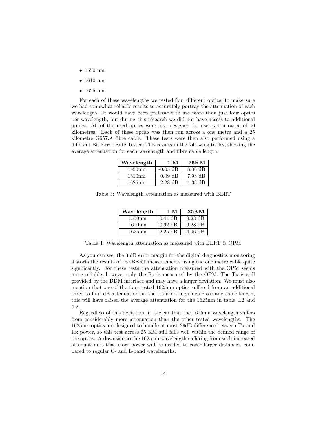- 1550 nm
- 1610 nm
- 1625 nm

For each of these wavelengths we tested four different optics, to make sure we had somewhat reliable results to accurately portray the attenuation of each wavelength. It would have been preferable to use more than just four optics per wavelength, but during this research we did not have access to additional optics. All of the used optics were also designed for use over a range of 40 kilometres. Each of these optics was then run across a one metre and a 25 kilometre G657.A fibre cable. These tests were then also performed using a different Bit Error Rate Tester, This results in the following tables, showing the average attenuation for each wavelength and fibre cable length:

| Wavelength | 1 M        | 25KM               |
|------------|------------|--------------------|
| 1550nm     | $-0.05$ dB | $8.36$ dB          |
| 1610nm     | $0.09$ dB  | $7.98$ dB          |
| 1625nm     | $2.28$ dB  | $14.33 \text{ dB}$ |

Table 3: Wavelength attenuation as measured with BERT

| Wavelength | 1 M       | 25KM              |
|------------|-----------|-------------------|
| 1550nm     | $0.44$ dB | $9.23 \text{ dB}$ |
| 1610nm     | $0.62$ dB | $9.28 \text{ dB}$ |
| 1625nm     | $2.25$ dB | $14.96$ dB        |

Table 4: Wavelength attenuation as measured with BERT & OPM

As you can see, the 3 dB error margin for the digital diagnostics monitoring distorts the results of the BERT measurements using the one metre cable quite significantly. For these tests the attenuation measured with the OPM seems more reliable, however only the Rx is measured by the OPM. The Tx is still provided by the DDM interface and may have a larger deviation. We must also mention that one of the four tested 1625nm optics suffered from an additional three to four dB attenuation on the transmitting side across any cable length, this will have raised the average attenuation for the 1625nm in table 4.2 and 4.2.

Regardless of this deviation, it is clear that the 1625nm wavelength suffers from considerably more attenuation than the other tested wavelengths. The 1625nm optics are designed to handle at most 29dB difference between Tx and Rx power, so this test across 25 KM still falls well within the defined range of the optics. A downside to the 1625nm wavelength suffering from such increased attenuation is that more power will be needed to cover larger distances, compared to regular C- and L-band wavelengths.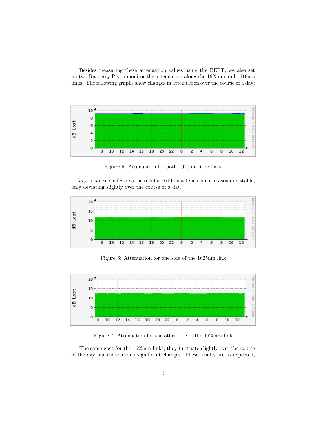Besides measuring these attenuation values using the BERT, we also set up two Rasperry Pis to monitor the attenuation along the 1625nm and 1610nm links. The following graphs show changes in attenuation over the course of a day:



Figure 5: Attenuation for both 1610nm fibre links

As you can see in figure 5 the regular 1610nm attenuation is reasonably stable, only deviating slightly over the course of a day.



Figure 6: Attenuation for one side of the 1625nm link



Figure 7: Attenuation for the other side of the 1625nm link

The same goes for the 1625nm links, they fluctuate slightly over the course of the day but there are no significant changes. These results are as expected,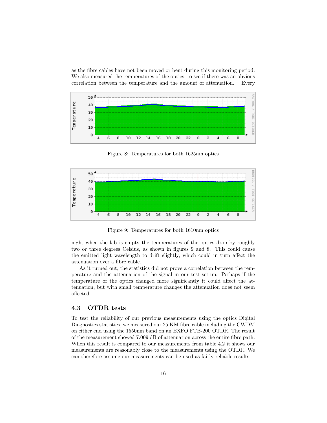as the fibre cables have not been moved or bent during this monitoring period. We also measured the temperatures of the optics, to see if there was an obvious correlation between the temperature and the amount of attenuation. Every



Figure 8: Temperatures for both 1625nm optics



Figure 9: Temperatures for both 1610nm optics

night when the lab is empty the temperatures of the optics drop by roughly two or three degrees Celsius, as shown in figures 9 and 8. This could cause the emitted light wavelength to drift slightly, which could in turn affect the attenuation over a fibre cable.

As it turned out, the statistics did not prove a correlation between the temperature and the attenuation of the signal in our test set-up. Perhaps if the temperature of the optics changed more significantly it could affect the attenuation, but with small temperature changes the attenuation does not seem affected.

#### 4.3 OTDR tests

To test the reliability of our previous measurements using the optics Digital Diagnostics statistics, we measured our 25 KM fibre cable including the CWDM on either end using the 1550nm band on an EXFO FTB-200 OTDR. The result of the measurement showed 7.009 dB of attenuation across the entire fibre path. When this result is compared to our measurements from table 4.2 it shows our measurements are reasonably close to the measurements using the OTDR. We can therefore assume our measurements can be used as fairly reliable results.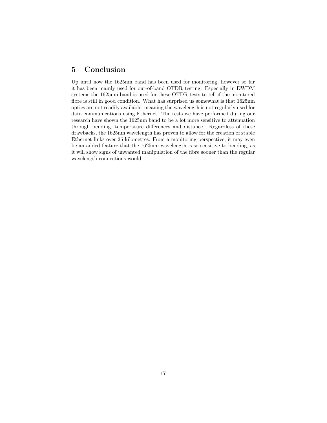## 5 Conclusion

Up until now the 1625nm band has been used for monitoring, however so far it has been mainly used for out-of-band OTDR testing. Especially in DWDM systems the 1625nm band is used for these OTDR tests to tell if the monitored fibre is still in good condition. What has surprised us somewhat is that 1625nm optics are not readily available, meaning the wavelength is not regularly used for data communications using Ethernet. The tests we have performed during our research have shown the 1625nm band to be a lot more sensitive to attenuation through bending, temperature differences and distance. Regardless of these drawbacks, the 1625nm wavelength has proven to allow for the creation of stable Ethernet links over 25 kilometres. From a monitoring perspective, it may even be an added feature that the 1625nm wavelength is so sensitive to bending, as it will show signs of unwanted manipulation of the fibre sooner than the regular wavelength connections would.